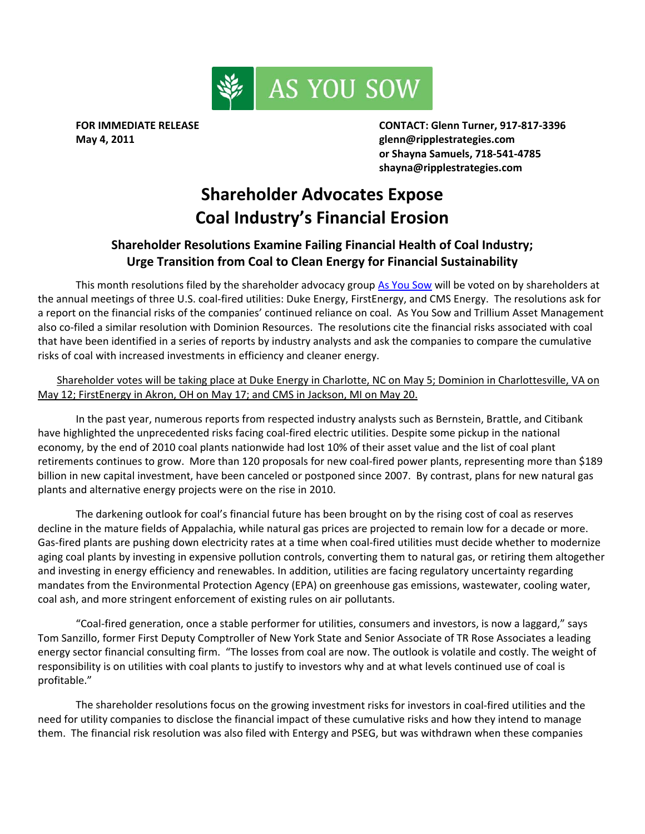

**FOR IMMEDIATE RELEASE CONTACT: Glenn Turner, 917‐817‐3396 May 4, 2011 glenn@ripplestrategies.com or Shayna Samuels, 718‐541‐4785 shayna@ripplestrategies.com**

## **Shareholder Advocates Expose Coal Industry's Financial Erosion**

## **Shareholder Resolutions Examine Failing Financial Health of Coal Industry; Urge Transition from Coal to Clean Energy for Financial Sustainability**

This month resolutions filed by the shareholder advocacy group As You [Sow](www.asyousow.org) will be voted on by shareholders at the annual meetings of three U.S. coal‐fired utilities: Duke Energy, FirstEnergy, and CMS Energy. The resolutions ask for a report on the financial risks of the companies' continued reliance on coal. As You Sow and Trillium Asset Management also co-filed a similar resolution with Dominion Resources. The resolutions cite the financial risks associated with coal that have been identified in a series of reports by industry analysts and ask the companies to compare the cumulative risks of coal with increased investments in efficiency and cleaner energy.

Shareholder votes will be taking place at Duke Energy in Charlotte, NC on May 5; Dominion in Charlottesville, VA on May 12; FirstEnergy in Akron, OH on May 17; and CMS in Jackson, MI on May 20.

In the past year, numerous reports from respected industry analysts such as Bernstein, Brattle, and Citibank have highlighted the unprecedented risks facing coal-fired electric utilities. Despite some pickup in the national economy, by the end of 2010 coal plants nationwide had lost 10% of their asset value and the list of coal plant retirements continues to grow. More than 120 proposals for new coal‐fired power plants, representing more than \$189 billion in new capital investment, have been canceled or postponed since 2007. By contrast, plans for new natural gas plants and alternative energy projects were on the rise in 2010.

The darkening outlook for coal's financial future has been brought on by the rising cost of coal as reserves decline in the mature fields of Appalachia, while natural gas prices are projected to remain low for a decade or more. Gas-fired plants are pushing down electricity rates at a time when coal-fired utilities must decide whether to modernize aging coal plants by investing in expensive pollution controls, converting them to natural gas, or retiring them altogether and investing in energy efficiency and renewables. In addition, utilities are facing regulatory uncertainty regarding mandates from the Environmental Protection Agency (EPA) on greenhouse gas emissions, wastewater, cooling water, coal ash, and more stringent enforcement of existing rules on air pollutants.

"Coal‐fired generation, once a stable performer for utilities, consumers and investors, is now a laggard," says Tom Sanzillo, former First Deputy Comptroller of New York State and Senior Associate of TR Rose Associates a leading energy sector financial consulting firm. "The losses from coal are now. The outlook is volatile and costly. The weight of responsibility is on utilities with coal plants to justify to investors why and at what levels continued use of coal is profitable."

The shareholder resolutions focus on the growing investment risks for investors in coal‐fired utilities and the need for utility companies to disclose the financial impact of these cumulative risks and how they intend to manage them. The financial risk resolution was also filed with Entergy and PSEG, but was withdrawn when these companies